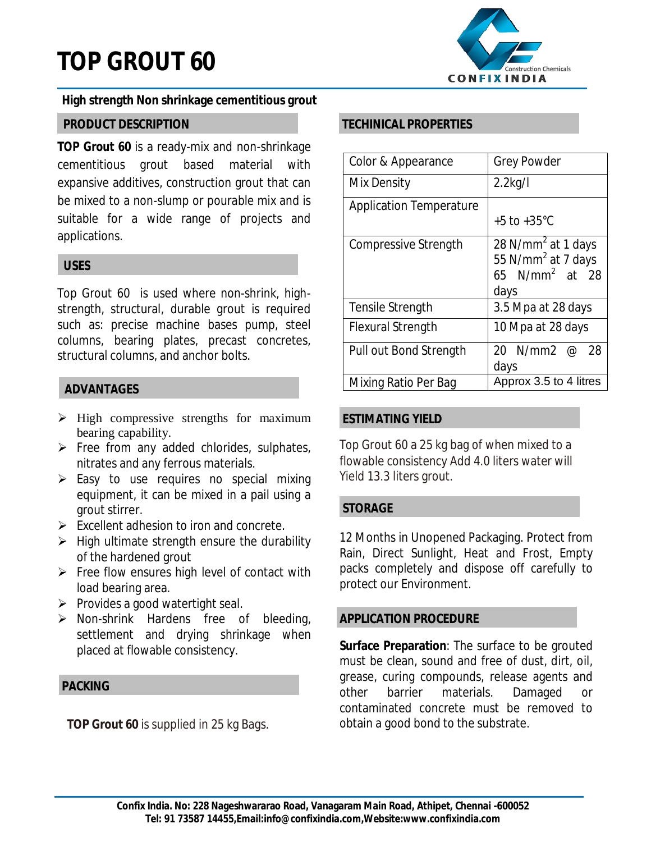# **TOP GROUT 60**



# **High strength Non shrinkage cementitious grout**

# **PRODUCT DESCRIPTION**

**TOP Grout 60** is a ready-mix and non-shrinkage cementitious grout based material with expansive additives, construction grout that can be mixed to a non-slump or pourable mix and is suitable for a wide range of projects and applications.

# **USES**

Top Grout 60 is used where non-shrink, highstrength, structural, durable grout is required such as: precise machine bases pump, steel columns, bearing plates, precast concretes, structural columns, and anchor bolts.

# **ADVANTAGES**

- $\triangleright$  High compressive strengths for maximum bearing capability.
- $\triangleright$  Free from any added chlorides, sulphates, nitrates and any ferrous materials.
- $\triangleright$  Easy to use requires no special mixing equipment, it can be mixed in a pail using a grout stirrer.
- $\triangleright$  Excellent adhesion to iron and concrete.
- $\triangleright$  High ultimate strength ensure the durability of the hardened grout
- $\triangleright$  Free flow ensures high level of contact with load bearing area.
- $\triangleright$  Provides a good watertight seal.
- $\triangleright$  Non-shrink Hardens free of bleeding, settlement and drying shrinkage when placed at flowable consistency.

# **PACKING**

**TOP Grout 60** is supplied in 25 kg Bags.

# **TECHINICAL PROPERTIES**

| Color & Appearance             | <b>Grey Powder</b>                                                                           |
|--------------------------------|----------------------------------------------------------------------------------------------|
| Mix Density                    | $2.2$ kg/l                                                                                   |
| <b>Application Temperature</b> | $+5$ to $+35^{\circ}$ C                                                                      |
| <b>Compressive Strength</b>    | 28 N/mm <sup>2</sup> at 1 days<br>55 N/mm <sup>2</sup> at 7 days<br>65 $N/mm2$ at 28<br>days |
| Tensile Strength               | 3.5 Mpa at 28 days                                                                           |
| <b>Flexural Strength</b>       | 10 Mpa at 28 days                                                                            |
| Pull out Bond Strength         | 20 N/mm2<br>$\varnothing$<br>28<br>days                                                      |
| Mixing Ratio Per Bag           | Approx 3.5 to 4 litres                                                                       |

# **ESTIMATING YIELD**

Top Grout 60 a 25 kg bag of when mixed to a flowable consistency Add 4.0 liters water will Yield 13.3 liters grout.

# **STORAGE**

12 Months in Unopened Packaging. Protect from Rain, Direct Sunlight, Heat and Frost, Empty packs completely and dispose off carefully to protect our Environment.

## **APPLICATION PROCEDURE**

**Surface Preparation**: The surface to be grouted must be clean, sound and free of dust, dirt, oil, grease, curing compounds, release agents and other barrier materials. Damaged or contaminated concrete must be removed to obtain a good bond to the substrate.